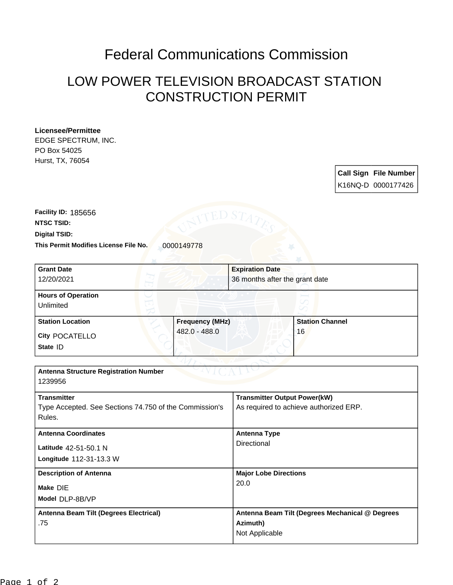## Federal Communications Commission

## LOW POWER TELEVISION BROADCAST STATION CONSTRUCTION PERMIT

## **Licensee/Permittee**

EDGE SPECTRUM, INC. PO Box 54025 Hurst, TX, 76054

> **Call Sign File Number** K16NQ-D 0000177426

This Permit Modifies License File No. 0000149778 **Digital TSID: NTSC TSID: Facility ID:** 185656

| <b>Grant Date</b>                                      |                 | <b>Expiration Date</b>                          |                        |
|--------------------------------------------------------|-----------------|-------------------------------------------------|------------------------|
| 12/20/2021                                             |                 | 36 months after the grant date                  |                        |
| <b>Hours of Operation</b>                              |                 |                                                 |                        |
| Unlimited                                              |                 |                                                 |                        |
| <b>Station Location</b>                                | Frequency (MHz) |                                                 | <b>Station Channel</b> |
| <b>City POCATELLO</b>                                  | 482.0 - 488.0   |                                                 | 16                     |
| State ID                                               |                 |                                                 |                        |
|                                                        |                 |                                                 |                        |
| <b>Antenna Structure Registration Number</b>           |                 |                                                 |                        |
| 1239956                                                |                 |                                                 |                        |
| <b>Transmitter</b>                                     |                 | <b>Transmitter Output Power(kW)</b>             |                        |
| Type Accepted. See Sections 74.750 of the Commission's |                 | As required to achieve authorized ERP.          |                        |
| Rules.                                                 |                 |                                                 |                        |
| <b>Antenna Coordinates</b>                             |                 | <b>Antenna Type</b>                             |                        |
| Latitude 42-51-50.1 N                                  |                 | Directional                                     |                        |
| Longitude 112-31-13.3 W                                |                 |                                                 |                        |
| <b>Description of Antenna</b>                          |                 | <b>Major Lobe Directions</b>                    |                        |
| Make DIE                                               |                 | 20.0                                            |                        |
| Model DLP-8B/VP                                        |                 |                                                 |                        |
| Antenna Beam Tilt (Degrees Electrical)                 |                 | Antenna Beam Tilt (Degrees Mechanical @ Degrees |                        |
| .75                                                    |                 | Azimuth)                                        |                        |
|                                                        |                 | Not Applicable                                  |                        |